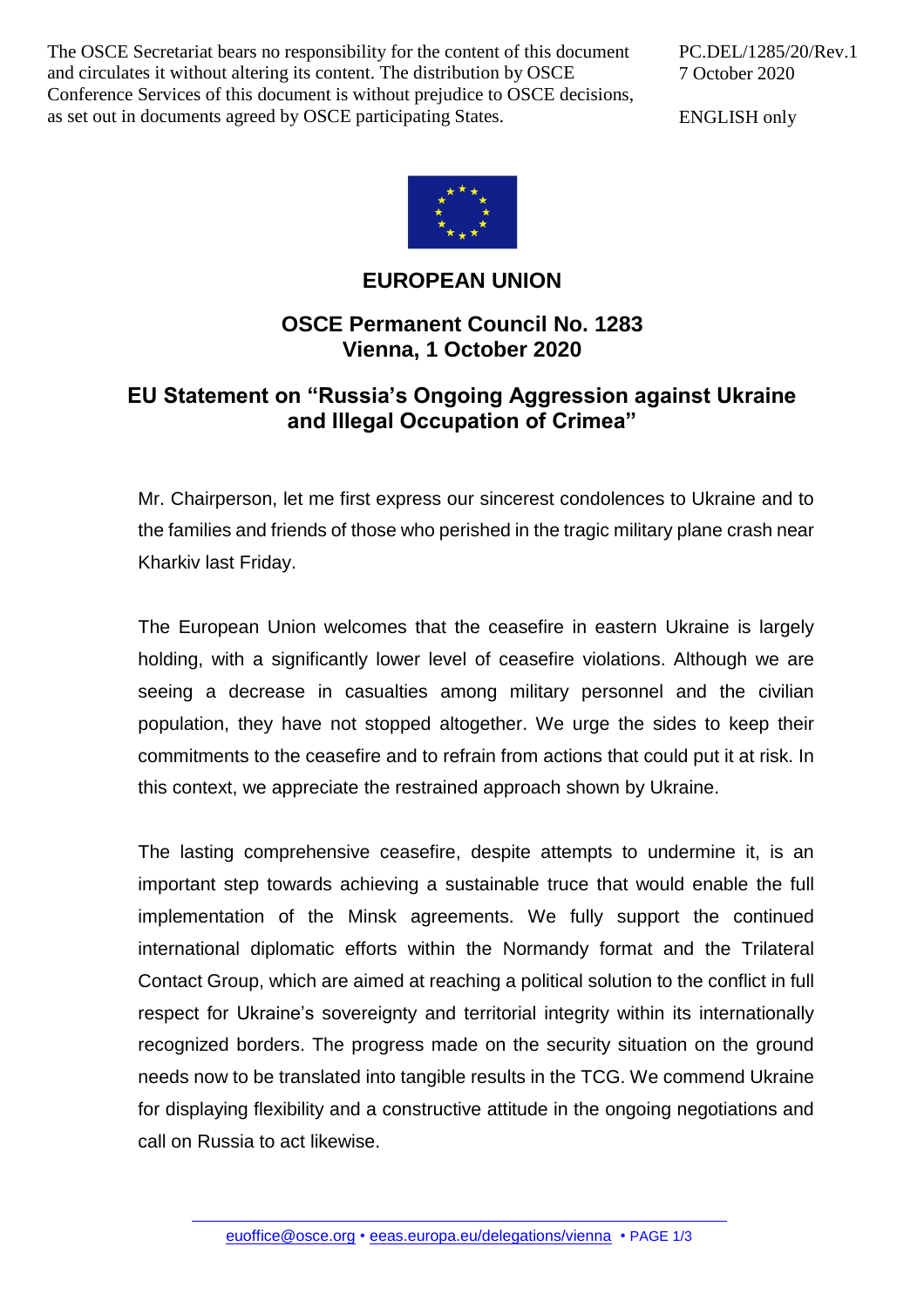The OSCE Secretariat bears no responsibility for the content of this document and circulates it without altering its content. The distribution by OSCE Conference Services of this document is without prejudice to OSCE decisions, as set out in documents agreed by OSCE participating States.

PC.DEL/1285/20/Rev.1 7 October 2020

ENGLISH only



## **EUROPEAN UNION**

## **OSCE Permanent Council No. 1283 Vienna, 1 October 2020**

## **EU Statement on "Russia's Ongoing Aggression against Ukraine and Illegal Occupation of Crimea"**

Mr. Chairperson, let me first express our sincerest condolences to Ukraine and to the families and friends of those who perished in the tragic military plane crash near Kharkiv last Friday.

The European Union welcomes that the ceasefire in eastern Ukraine is largely holding, with a significantly lower level of ceasefire violations. Although we are seeing a decrease in casualties among military personnel and the civilian population, they have not stopped altogether. We urge the sides to keep their commitments to the ceasefire and to refrain from actions that could put it at risk. In this context, we appreciate the restrained approach shown by Ukraine.

The lasting comprehensive ceasefire, despite attempts to undermine it, is an important step towards achieving a sustainable truce that would enable the full implementation of the Minsk agreements. We fully support the continued international diplomatic efforts within the Normandy format and the Trilateral Contact Group, which are aimed at reaching a political solution to the conflict in full respect for Ukraine's sovereignty and territorial integrity within its internationally recognized borders. The progress made on the security situation on the ground needs now to be translated into tangible results in the TCG. We commend Ukraine for displaying flexibility and a constructive attitude in the ongoing negotiations and call on Russia to act likewise.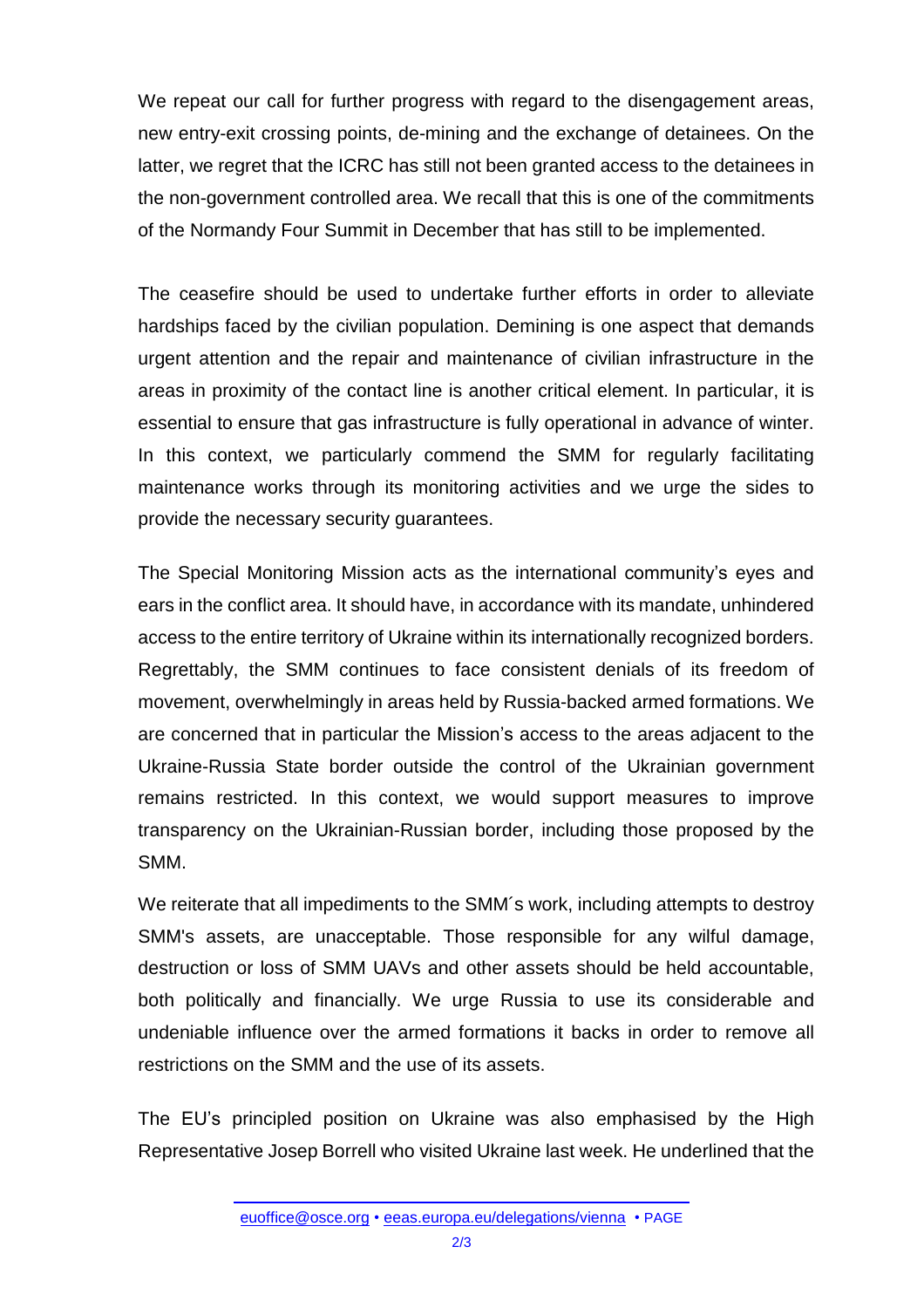We repeat our call for further progress with regard to the disengagement areas, new entry-exit crossing points, de-mining and the exchange of detainees. On the latter, we regret that the ICRC has still not been granted access to the detainees in the non-government controlled area. We recall that this is one of the commitments of the Normandy Four Summit in December that has still to be implemented.

The ceasefire should be used to undertake further efforts in order to alleviate hardships faced by the civilian population. Demining is one aspect that demands urgent attention and the repair and maintenance of civilian infrastructure in the areas in proximity of the contact line is another critical element. In particular, it is essential to ensure that gas infrastructure is fully operational in advance of winter. In this context, we particularly commend the SMM for regularly facilitating maintenance works through its monitoring activities and we urge the sides to provide the necessary security guarantees.

The Special Monitoring Mission acts as the international community's eyes and ears in the conflict area. It should have, in accordance with its mandate, unhindered access to the entire territory of Ukraine within its internationally recognized borders. Regrettably, the SMM continues to face consistent denials of its freedom of movement, overwhelmingly in areas held by Russia-backed armed formations. We are concerned that in particular the Mission's access to the areas adjacent to the Ukraine-Russia State border outside the control of the Ukrainian government remains restricted. In this context, we would support measures to improve transparency on the Ukrainian-Russian border, including those proposed by the SMM.

We reiterate that all impediments to the SMM's work, including attempts to destroy SMM's assets, are unacceptable. Those responsible for any wilful damage, destruction or loss of SMM UAVs and other assets should be held accountable, both politically and financially. We urge Russia to use its considerable and undeniable influence over the armed formations it backs in order to remove all restrictions on the SMM and the use of its assets.

The EU's principled position on Ukraine was also emphasised by the High Representative Josep Borrell who visited Ukraine last week. He underlined that the